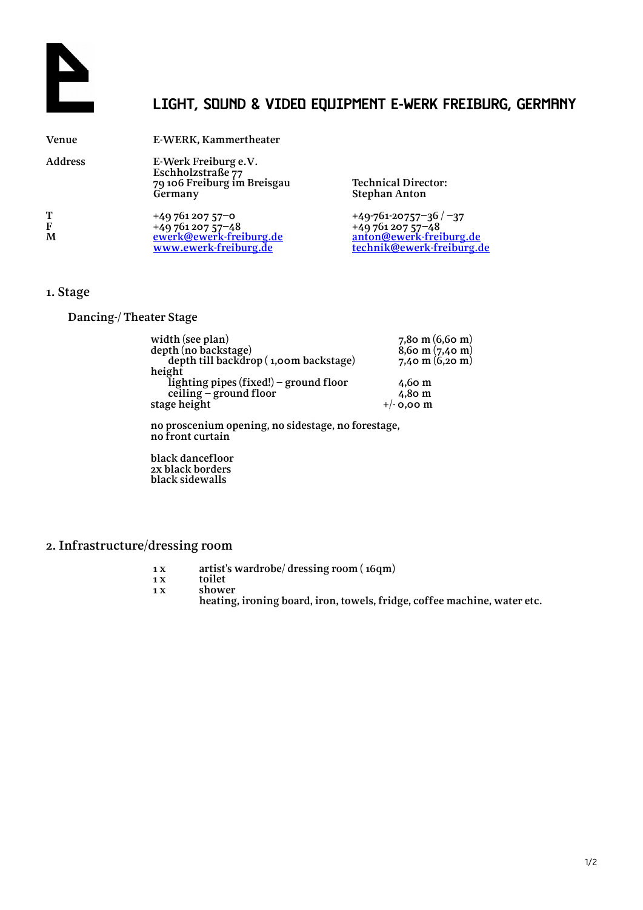

## **LIGHT, SOUND & VIDEO EQUIPMENT E-WERK FREIBURG, GERMANY**

| <b>Venue</b>   | E-WERK, Kammertheater                                                                   |                                                                                                     |
|----------------|-----------------------------------------------------------------------------------------|-----------------------------------------------------------------------------------------------------|
| <b>Address</b> | E-Werk Freiburg e.V.<br>Eschholzstraße 77<br>79 106 Freiburg im Breisgau<br>Germany     | <b>Technical Director:</b><br><b>Stephan Anton</b>                                                  |
| Т<br>F<br>M    | $+4976120757-0$<br>$+4976120757-48$<br>ewerk@ewerk-freiburg.de<br>www.ewerk-freiburg.de | $+49-761-20757-36/ -37$<br>$+4976120757-48$<br>anton@ewerk-freiburg.de<br>technik@ewerk-freiburg.de |

#### **1. Stage**

### **Dancing-/ Theater Stage**

| width (see plan)                       | $7,80 \text{ m} (6,60 \text{ m})$ |
|----------------------------------------|-----------------------------------|
| depth (no backstage)                   | $8,6$ o m $(7,4$ o m $)$          |
| depth till backdrop (1,00m backstage)  | 7,40 m $(6,20 \text{ m})$         |
| height                                 |                                   |
| lighting pipes (fixed!) - ground floor | $4,60 \text{ m}$                  |
| ceiling – ground floor                 | $4.80 \text{ m}$                  |
| stage height                           | $+/-$ 0,00 m                      |
|                                        |                                   |

**no proscenium opening, no sidestage, no forestage, no front curtain**

**black dancefloor 2x black borders black sidewalls**

### **2. Infrastructure/dressing room**

- **1 x artist's wardrobe/ dressing room ( 16qm)**
- **1 x toilet**
	- **1 x shower heating, ironing board, iron, towels, fridge, coffee machine, water etc.**